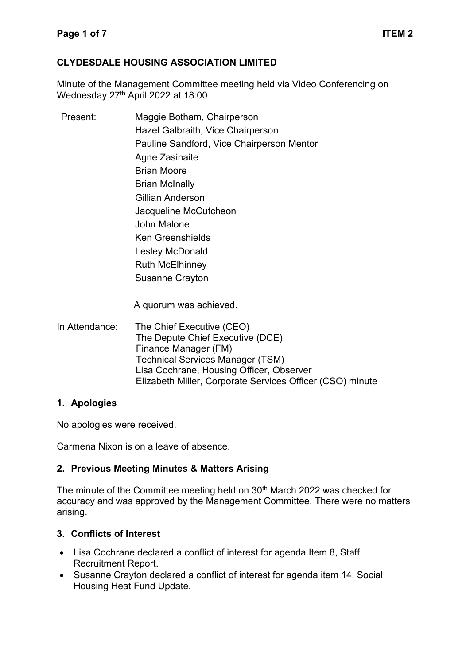## **CLYDESDALE HOUSING ASSOCIATION LIMITED**

Minute of the Management Committee meeting held via Video Conferencing on Wednesday 27<sup>th</sup> April 2022 at 18:00

| Present: | Maggie Botham, Chairperson                |
|----------|-------------------------------------------|
|          | Hazel Galbraith, Vice Chairperson         |
|          | Pauline Sandford, Vice Chairperson Mentor |
|          | Agne Zasinaite                            |
|          | Brian Moore                               |
|          | <b>Brian McInally</b>                     |
|          | Gillian Anderson                          |
|          | Jacqueline McCutcheon                     |
|          | John Malone                               |
|          | <b>Ken Greenshields</b>                   |
|          | Lesley McDonald                           |
|          | <b>Ruth McElhinney</b>                    |
|          | <b>Susanne Crayton</b>                    |
|          |                                           |

A quorum was achieved.

In Attendance: The Chief Executive (CEO) The Depute Chief Executive (DCE) Finance Manager (FM) Technical Services Manager (TSM) Lisa Cochrane, Housing Officer, Observer Elizabeth Miller, Corporate Services Officer (CSO) minute

### **1. Apologies**

No apologies were received.

Carmena Nixon is on a leave of absence.

### **2. Previous Meeting Minutes & Matters Arising**

The minute of the Committee meeting held on 30<sup>th</sup> March 2022 was checked for accuracy and was approved by the Management Committee. There were no matters arising.

## **3. Conflicts of Interest**

- Lisa Cochrane declared a conflict of interest for agenda Item 8, Staff Recruitment Report.
- Susanne Crayton declared a conflict of interest for agenda item 14, Social Housing Heat Fund Update.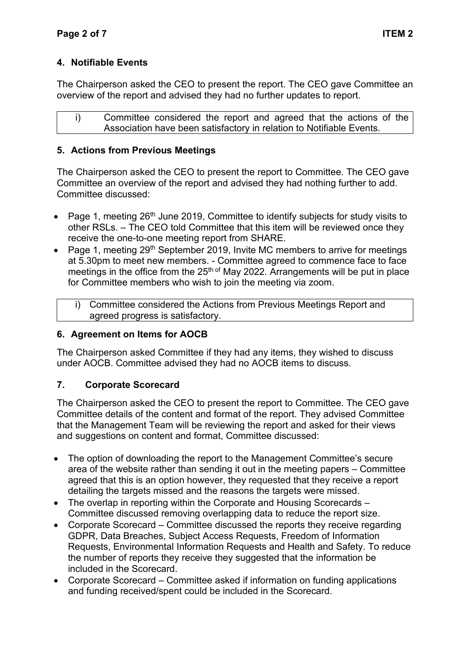# **4. Notifiable Events**

The Chairperson asked the CEO to present the report. The CEO gave Committee an overview of the report and advised they had no further updates to report.

i) Committee considered the report and agreed that the actions of the Association have been satisfactory in relation to Notifiable Events.

## **5. Actions from Previous Meetings**

The Chairperson asked the CEO to present the report to Committee. The CEO gave Committee an overview of the report and advised they had nothing further to add. Committee discussed:

- Page 1, meeting 26<sup>th</sup> June 2019, Committee to identify subjects for study visits to other RSLs. – The CEO told Committee that this item will be reviewed once they receive the one-to-one meeting report from SHARE.
- Page 1, meeting 29th September 2019, Invite MC members to arrive for meetings at 5.30pm to meet new members. - Committee agreed to commence face to face meetings in the office from the  $25<sup>th of</sup>$  May 2022. Arrangements will be put in place for Committee members who wish to join the meeting via zoom.
	- i) Committee considered the Actions from Previous Meetings Report and agreed progress is satisfactory.

## **6. Agreement on Items for AOCB**

The Chairperson asked Committee if they had any items, they wished to discuss under AOCB. Committee advised they had no AOCB items to discuss.

## **7. Corporate Scorecard**

The Chairperson asked the CEO to present the report to Committee. The CEO gave Committee details of the content and format of the report. They advised Committee that the Management Team will be reviewing the report and asked for their views and suggestions on content and format, Committee discussed:

- The option of downloading the report to the Management Committee's secure area of the website rather than sending it out in the meeting papers – Committee agreed that this is an option however, they requested that they receive a report detailing the targets missed and the reasons the targets were missed.
- The overlap in reporting within the Corporate and Housing Scorecards Committee discussed removing overlapping data to reduce the report size.
- Corporate Scorecard Committee discussed the reports they receive regarding GDPR, Data Breaches, Subject Access Requests, Freedom of Information Requests, Environmental Information Requests and Health and Safety. To reduce the number of reports they receive they suggested that the information be included in the Scorecard.
- Corporate Scorecard Committee asked if information on funding applications and funding received/spent could be included in the Scorecard.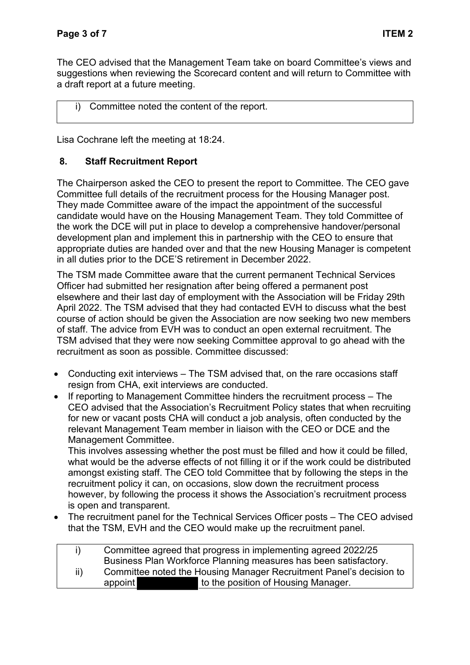The CEO advised that the Management Team take on board Committee's views and suggestions when reviewing the Scorecard content and will return to Committee with a draft report at a future meeting.

## i) Committee noted the content of the report.

Lisa Cochrane left the meeting at 18:24.

## **8. Staff Recruitment Report**

The Chairperson asked the CEO to present the report to Committee. The CEO gave Committee full details of the recruitment process for the Housing Manager post. They made Committee aware of the impact the appointment of the successful candidate would have on the Housing Management Team. They told Committee of the work the DCE will put in place to develop a comprehensive handover/personal development plan and implement this in partnership with the CEO to ensure that appropriate duties are handed over and that the new Housing Manager is competent in all duties prior to the DCE'S retirement in December 2022.

The TSM made Committee aware that the current permanent Technical Services Officer had submitted her resignation after being offered a permanent post elsewhere and their last day of employment with the Association will be Friday 29th April 2022. The TSM advised that they had contacted EVH to discuss what the best course of action should be given the Association are now seeking two new members of staff. The advice from EVH was to conduct an open external recruitment. The TSM advised that they were now seeking Committee approval to go ahead with the recruitment as soon as possible. Committee discussed:

- Conducting exit interviews The TSM advised that, on the rare occasions staff resign from CHA, exit interviews are conducted.
- If reporting to Management Committee hinders the recruitment process The CEO advised that the Association's Recruitment Policy states that when recruiting for new or vacant posts CHA will conduct a job analysis, often conducted by the relevant Management Team member in liaison with the CEO or DCE and the Management Committee.

This involves assessing whether the post must be filled and how it could be filled, what would be the adverse effects of not filling it or if the work could be distributed amongst existing staff. The CEO told Committee that by following the steps in the recruitment policy it can, on occasions, slow down the recruitment process however, by following the process it shows the Association's recruitment process is open and transparent.

• The recruitment panel for the Technical Services Officer posts – The CEO advised that the TSM, EVH and the CEO would make up the recruitment panel.

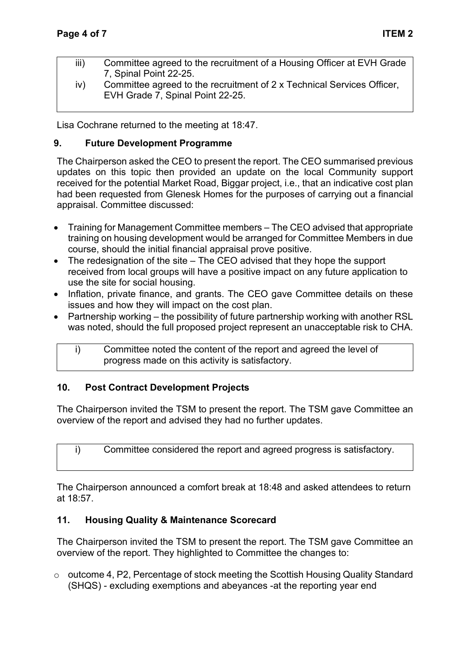- iii) Committee agreed to the recruitment of a Housing Officer at EVH Grade 7, Spinal Point 22-25.
- iv) Committee agreed to the recruitment of 2 x Technical Services Officer, EVH Grade 7, Spinal Point 22-25.

Lisa Cochrane returned to the meeting at 18:47.

### **9. Future Development Programme**

The Chairperson asked the CEO to present the report. The CEO summarised previous updates on this topic then provided an update on the local Community support received for the potential Market Road, Biggar project, i.e., that an indicative cost plan had been requested from Glenesk Homes for the purposes of carrying out a financial appraisal. Committee discussed:

- Training for Management Committee members The CEO advised that appropriate training on housing development would be arranged for Committee Members in due course, should the initial financial appraisal prove positive.
- The redesignation of the site The CEO advised that they hope the support received from local groups will have a positive impact on any future application to use the site for social housing.
- Inflation, private finance, and grants. The CEO gave Committee details on these issues and how they will impact on the cost plan.
- Partnership working the possibility of future partnership working with another RSL was noted, should the full proposed project represent an unacceptable risk to CHA.
	- i) Committee noted the content of the report and agreed the level of progress made on this activity is satisfactory.

### **10. Post Contract Development Projects**

The Chairperson invited the TSM to present the report. The TSM gave Committee an overview of the report and advised they had no further updates.

i) Committee considered the report and agreed progress is satisfactory.

The Chairperson announced a comfort break at 18:48 and asked attendees to return at 18:57.

### **11. Housing Quality & Maintenance Scorecard**

The Chairperson invited the TSM to present the report. The TSM gave Committee an overview of the report. They highlighted to Committee the changes to:

o outcome 4, P2, Percentage of stock meeting the Scottish Housing Quality Standard (SHQS) - excluding exemptions and abeyances -at the reporting year end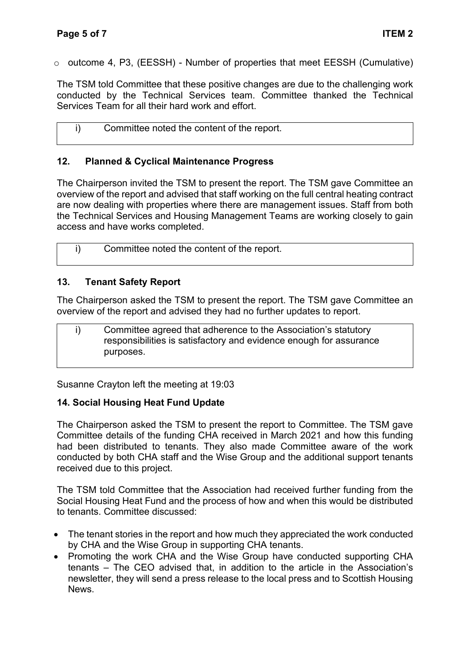o outcome 4, P3, (EESSH) - Number of properties that meet EESSH (Cumulative)

The TSM told Committee that these positive changes are due to the challenging work conducted by the Technical Services team. Committee thanked the Technical Services Team for all their hard work and effort.

| Committee noted the content of the report. |
|--------------------------------------------|
|                                            |

## **12. Planned & Cyclical Maintenance Progress**

The Chairperson invited the TSM to present the report. The TSM gave Committee an overview of the report and advised that staff working on the full central heating contract are now dealing with properties where there are management issues. Staff from both the Technical Services and Housing Management Teams are working closely to gain access and have works completed.

i) Committee noted the content of the report.

## **13. Tenant Safety Report**

The Chairperson asked the TSM to present the report. The TSM gave Committee an overview of the report and advised they had no further updates to report.

i) Committee agreed that adherence to the Association's statutory responsibilities is satisfactory and evidence enough for assurance purposes.

Susanne Crayton left the meeting at 19:03

### **14. Social Housing Heat Fund Update**

The Chairperson asked the TSM to present the report to Committee. The TSM gave Committee details of the funding CHA received in March 2021 and how this funding had been distributed to tenants. They also made Committee aware of the work conducted by both CHA staff and the Wise Group and the additional support tenants received due to this project.

The TSM told Committee that the Association had received further funding from the Social Housing Heat Fund and the process of how and when this would be distributed to tenants. Committee discussed:

- The tenant stories in the report and how much they appreciated the work conducted by CHA and the Wise Group in supporting CHA tenants.
- Promoting the work CHA and the Wise Group have conducted supporting CHA tenants – The CEO advised that, in addition to the article in the Association's newsletter, they will send a press release to the local press and to Scottish Housing News.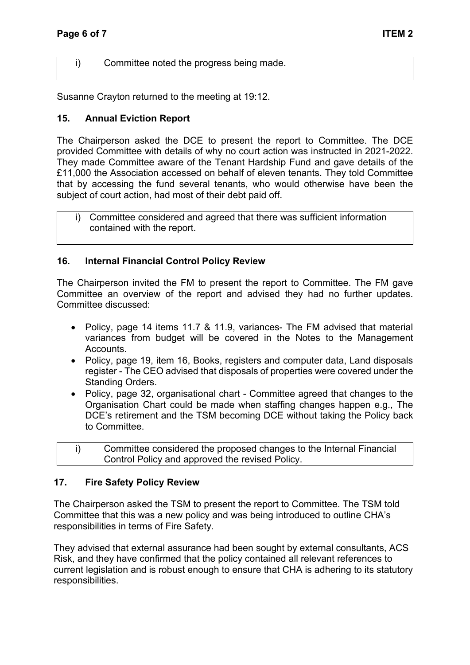i) Committee noted the progress being made.

Susanne Crayton returned to the meeting at 19:12.

## **15. Annual Eviction Report**

The Chairperson asked the DCE to present the report to Committee. The DCE provided Committee with details of why no court action was instructed in 2021-2022. They made Committee aware of the Tenant Hardship Fund and gave details of the £11,000 the Association accessed on behalf of eleven tenants. They told Committee that by accessing the fund several tenants, who would otherwise have been the subject of court action, had most of their debt paid off.

i) Committee considered and agreed that there was sufficient information contained with the report.

### **16. Internal Financial Control Policy Review**

The Chairperson invited the FM to present the report to Committee. The FM gave Committee an overview of the report and advised they had no further updates. Committee discussed:

- Policy, page 14 items 11.7 & 11.9, variances- The FM advised that material variances from budget will be covered in the Notes to the Management Accounts.
- Policy, page 19, item 16, Books, registers and computer data, Land disposals register - The CEO advised that disposals of properties were covered under the Standing Orders.
- Policy, page 32, organisational chart Committee agreed that changes to the Organisation Chart could be made when staffing changes happen e.g., The DCE's retirement and the TSM becoming DCE without taking the Policy back to Committee.
- i) Committee considered the proposed changes to the Internal Financial Control Policy and approved the revised Policy.

### **17. Fire Safety Policy Review**

The Chairperson asked the TSM to present the report to Committee. The TSM told Committee that this was a new policy and was being introduced to outline CHA's responsibilities in terms of Fire Safety.

They advised that external assurance had been sought by external consultants, ACS Risk, and they have confirmed that the policy contained all relevant references to current legislation and is robust enough to ensure that CHA is adhering to its statutory responsibilities.